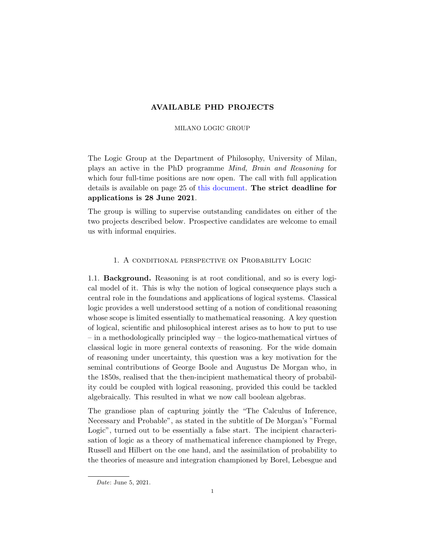# AVAILABLE PHD PROJECTS

#### MILANO LOGIC GROUP

The Logic Group at the Department of Philosophy, University of Milan, plays an active in the PhD programme Mind, Brain and Reasoning for which four full-time positions are now open. The call with full application details is available on page 25 of [this document.](https://apps.unimi.it/files/bandi/call-2022-1-selection-july.pdf?31-MAY-21) The strict deadline for applications is 28 June 2021.

The group is willing to supervise outstanding candidates on either of the two projects described below. Prospective candidates are welcome to email us with informal enquiries.

## 1. A conditional perspective on Probability Logic

1.1. Background. Reasoning is at root conditional, and so is every logical model of it. This is why the notion of logical consequence plays such a central role in the foundations and applications of logical systems. Classical logic provides a well understood setting of a notion of conditional reasoning whose scope is limited essentially to mathematical reasoning. A key question of logical, scientific and philosophical interest arises as to how to put to use – in a methodologically principled way – the logico-mathematical virtues of classical logic in more general contexts of reasoning. For the wide domain of reasoning under uncertainty, this question was a key motivation for the seminal contributions of George Boole and Augustus De Morgan who, in the 1850s, realised that the then-incipient mathematical theory of probability could be coupled with logical reasoning, provided this could be tackled algebraically. This resulted in what we now call boolean algebras.

The grandiose plan of capturing jointly the "The Calculus of Inference, Necessary and Probable", as stated in the subtitle of De Morgan's "Formal Logic", turned out to be essentially a false start. The incipient characterisation of logic as a theory of mathematical inference championed by Frege, Russell and Hilbert on the one hand, and the assimilation of probability to the theories of measure and integration championed by Borel, Lebesgue and

Date: June 5, 2021.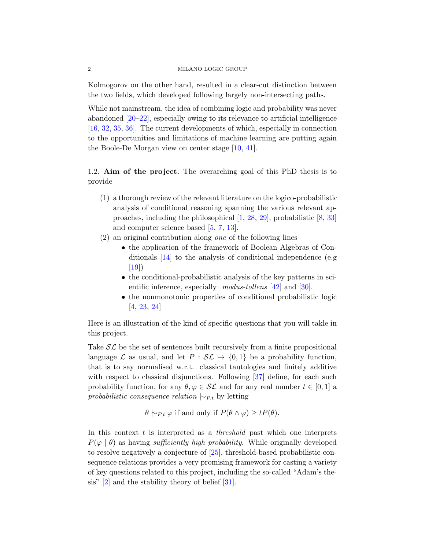Kolmogorov on the other hand, resulted in a clear-cut distinction between the two fields, which developed following largely non-intersecting paths.

While not mainstream, the idea of combining logic and probability was never abandoned [\[20–](#page-6-0)[22\]](#page-6-1), especially owing to its relevance to artificial intelligence [\[16,](#page-5-0) [32,](#page-6-2) [35,](#page-7-0) [36\]](#page-7-1). The current developments of which, especially in connection to the opportunities and limitations of machine learning are putting again the Boole-De Morgan view on center stage [\[10,](#page-5-1) [41\]](#page-7-2).

1.2. Aim of the project. The overarching goal of this PhD thesis is to provide

- (1) a thorough review of the relevant literature on the logico-probabilistic analysis of conditional reasoning spanning the various relevant approaches, including the philosophical [\[1,](#page-4-0) [28,](#page-6-3) [29\]](#page-6-4), probabilistic [\[8,](#page-5-2) [33\]](#page-6-5) and computer science based [\[5,](#page-5-3) [7,](#page-5-4) [13\]](#page-5-5).
- (2) an original contribution along one of the following lines
	- the application of the framework of Boolean Algebras of Conditionals [\[14\]](#page-5-6) to the analysis of conditional independence (e.g [\[19\]](#page-6-6))
	- the conditional-probabilistic analysis of the key patterns in scientific inference, especially *modus-tollens* [\[42\]](#page-7-3) and [\[30\]](#page-6-7).
	- the nonmonotonic properties of conditional probabilistic logic [\[4,](#page-4-1) [23,](#page-6-8) [24\]](#page-6-9)

Here is an illustration of the kind of specific questions that you will takle in this project.

Take  $\mathcal{SL}$  be the set of sentences built recursively from a finite propositional language  $\mathcal L$  as usual, and let  $P : \mathcal{SL} \to \{0,1\}$  be a probability function, that is to say normalised w.r.t. classical tautologies and finitely additive with respect to classical disjunctions. Following [\[37\]](#page-7-4) define, for each such probability function, for any  $\theta, \varphi \in \mathcal{SL}$  and for any real number  $t \in [0, 1]$  a probabilistic consequence relation  $\vdash_{P,t}$  by letting

$$
\theta \vdash_{P,t} \varphi
$$
 if and only if  $P(\theta \land \varphi) \geq t P(\theta)$ .

In this context  $t$  is interpreted as a *threshold* past which one interprets  $P(\varphi | \theta)$  as having *sufficiently high probability*. While originally developed to resolve negatively a conjecture of [\[25\]](#page-6-10), threshold-based probabilistic consequence relations provides a very promising framework for casting a variety of key questions related to this project, including the so-called "Adam's thesis" [\[2\]](#page-4-2) and the stability theory of belief [\[31\]](#page-6-11).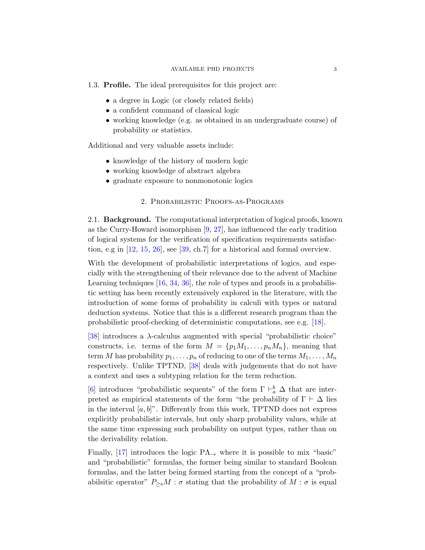### 1.3. Profile. The ideal prerequisites for this project are:

- a degree in Logic (or closely related fields)
- a confident command of classical logic
- working knowledge (e.g. as obtained in an undergraduate course) of probability or statistics.

Additional and very valuable assets include:

- knowledge of the history of modern logic
- working knowledge of abstract algebra
- graduate exposure to nonmonotonic logics

## 2. Probabilistic Proofs-as-Programs

2.1. Background. The computational interpretation of logical proofs, known as the Curry-Howard isomorphism [\[9,](#page-5-7) [27\]](#page-6-12), has influenced the early tradition of logical systems for the verification of specification requirements satisfaction, e.g in [\[12,](#page-5-8) [15,](#page-5-9) [26\]](#page-6-13), see [\[39,](#page-7-5) ch.7] for a historical and formal overview.

With the development of probabilistic interpretations of logics, and especially with the strengthening of their relevance due to the advent of Machine Learning techniques [\[16,](#page-5-0) [34,](#page-6-14) [36\]](#page-7-1), the role of types and proofs in a probabilistic setting has been recently extensively explored in the literature, with the introduction of some forms of probability in calculi with types or natural deduction systems. Notice that this is a different research program than the probabilistic proof-checking of deterministic computations, see e.g. [\[18\]](#page-5-10).

[\[38\]](#page-7-6) introduces a  $\lambda$ -calculus augmented with special "probabilistic choice" constructs, i.e. terms of the form  $M = \{p_1M_1, \ldots, p_nM_n\}$ , meaning that term M has probability  $p_1, \ldots, p_n$  of reducing to one of the terms  $M_1, \ldots, M_n$ respectively. Unlike TPTND, [\[38\]](#page-7-6) deals with judgements that do not have a context and uses a subtyping relation for the term reduction.

[\[6\]](#page-5-11) introduces "probabilistic sequents" of the form  $\Gamma \vdash_a^b \Delta$  that are interpreted as empirical statements of the form "the probability of  $\Gamma \vdash \Delta$  lies in the interval  $[a, b]$ ". Differently from this work, TPTND does not express explicitly probabilistic intervals, but only sharp probability values, while at the same time expressing such probability on output types, rather than on the derivability relation.

Finally, [\[17\]](#page-5-12) introduces the logic  $PA_{\rightarrow}$  where it is possible to mix "basic" and "probabilistic" formulas, the former being similar to standard Boolean formulas, and the latter being formed starting from the concept of a "probabilsitic operator"  $P_{\geq s}M : \sigma$  stating that the probability of  $M : \sigma$  is equal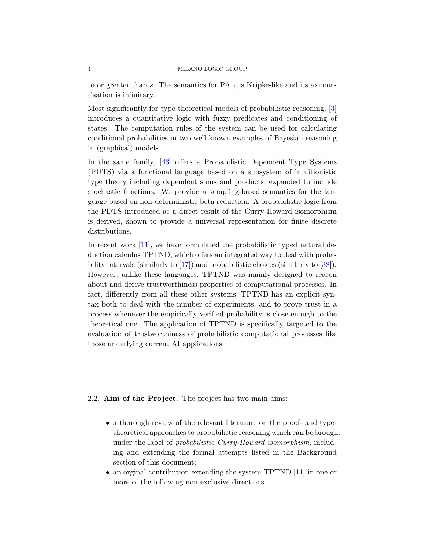to or greater than s. The semantics for  $PA_{\rightarrow}$  is Kripke-like and its axiomatisation is infinitary.

Most significantly for type-theoretical models of probabilistic reasoning, [\[3\]](#page-4-3) introduces a quantitative logic with fuzzy predicates and conditioning of states. The computation rules of the system can be used for calculating conditional probabilities in two well-known examples of Bayesian reasoning in (graphical) models.

In the same family, [\[43\]](#page-7-7) offers a Probabilistic Dependent Type Systems (PDTS) via a functional language based on a subsystem of intuitionistic type theory including dependent sums and products, expanded to include stochastic functions. We provide a sampling-based semantics for the language based on non-deterministic beta reduction. A probabilistic logic from the PDTS introduced as a direct result of the Curry-Howard isomorphism is derived, shown to provide a universal representation for finite discrete distributions.

In recent work [\[11\]](#page-5-13), we have formulated the probabilistic typed natural deduction calculus TPTND, which offers an integrated way to deal with probability intervals (similarly to [\[17\]](#page-5-12)) and probabilistic choices (similarly to [\[38\]](#page-7-6)). However, unlike these languages, TPTND was mainly designed to reason about and derive trustworthiness properties of computational processes. In fact, differently from all these other systems, TPTND has an explicit syntax both to deal with the number of experiments, and to prove trust in a process whenever the empirically verified probability is close enough to the theoretical one. The application of TPTND is specifically targeted to the evaluation of trustworthiness of probabilistic computational processes like those underlying current AI applications.

## 2.2. Aim of the Project. The project has two main aims:

- a thorough review of the relevant literature on the proof- and typetheoretical approaches to probabilistic reasoning which can be brought under the label of probabilistic Curry-Howard isomorphism, including and extending the formal attempts listed in the Background section of this document;
- an orginal contribution extending the system TPTND [\[11\]](#page-5-13) in one or more of the following non-exclusive directions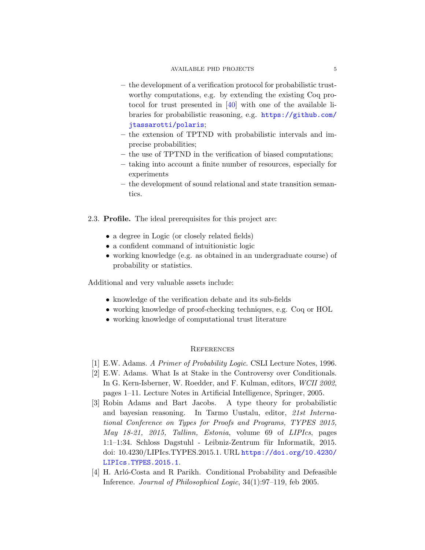- the development of a verification protocol for probabilistic trustworthy computations, e.g. by extending the existing Coq protocol for trust presented in [\[40\]](#page-7-8) with one of the available libraries for probabilistic reasoning, e.g. [https://github.com/](https://github.com/jtassarotti/polaris) [jtassarotti/polaris](https://github.com/jtassarotti/polaris);
- the extension of TPTND with probabilistic intervals and imprecise probabilities;
- the use of TPTND in the verification of biased computations;
- taking into account a finite number of resources, especially for experiments
- the development of sound relational and state transition semantics.
- 2.3. Profile. The ideal prerequisites for this project are:
	- a degree in Logic (or closely related fields)
	- a confident command of intuitionistic logic
	- working knowledge (e.g. as obtained in an undergraduate course) of probability or statistics.

Additional and very valuable assets include:

- knowledge of the verification debate and its sub-fields
- working knowledge of proof-checking techniques, e.g. Coq or HOL
- working knowledge of computational trust literature

## **REFERENCES**

- <span id="page-4-0"></span>[1] E.W. Adams. A Primer of Probability Logic. CSLI Lecture Notes, 1996.
- <span id="page-4-2"></span>[2] E.W. Adams. What Is at Stake in the Controversy over Conditionals. In G. Kern-Isberner, W. Roedder, and F. Kulman, editors, WCII 2002, pages 1–11. Lecture Notes in Artificial Intelligence, Springer, 2005.
- <span id="page-4-3"></span>[3] Robin Adams and Bart Jacobs. A type theory for probabilistic and bayesian reasoning. In Tarmo Uustalu, editor, 21st International Conference on Types for Proofs and Programs, TYPES 2015, May 18-21, 2015, Tallinn, Estonia, volume 69 of LIPIcs, pages 1:1–1:34. Schloss Dagstuhl - Leibniz-Zentrum für Informatik, 2015. doi: 10.4230/LIPIcs.TYPES.2015.1. URL [https://doi.org/10.4230/](https://doi.org/10.4230/LIPIcs.TYPES.2015.1) [LIPIcs.TYPES.2015.1](https://doi.org/10.4230/LIPIcs.TYPES.2015.1).
- <span id="page-4-1"></span>[4] H. Arló-Costa and R Parikh. Conditional Probability and Defeasible Inference. Journal of Philosophical Logic, 34(1):97–119, feb 2005.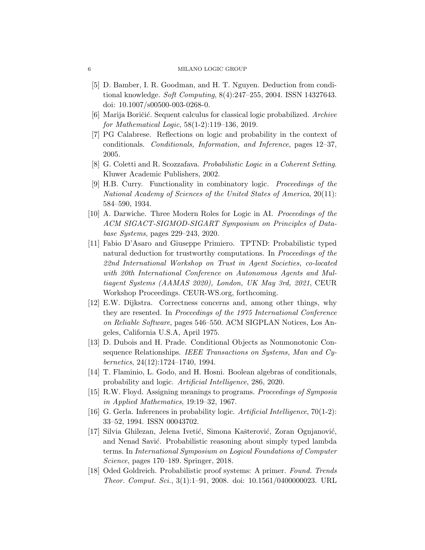- <span id="page-5-3"></span>[5] D. Bamber, I. R. Goodman, and H. T. Nguyen. Deduction from conditional knowledge. Soft Computing, 8(4):247–255, 2004. ISSN 14327643. doi: 10.1007/s00500-003-0268-0.
- <span id="page-5-11"></span>[6] Marija Boričić. Sequent calculus for classical logic probabilized. Archive for Mathematical Logic, 58(1-2):119–136, 2019.
- <span id="page-5-4"></span>[7] PG Calabrese. Reflections on logic and probability in the context of conditionals. Conditionals, Information, and Inference, pages 12–37, 2005.
- <span id="page-5-2"></span>[8] G. Coletti and R. Scozzafava. Probabilistic Logic in a Coherent Setting. Kluwer Academic Publishers, 2002.
- <span id="page-5-7"></span>[9] H.B. Curry. Functionality in combinatory logic. Proceedings of the National Academy of Sciences of the United States of America, 20(11): 584–590, 1934.
- <span id="page-5-1"></span>[10] A. Darwiche. Three Modern Roles for Logic in AI. Proceedings of the ACM SIGACT-SIGMOD-SIGART Symposium on Principles of Database Systems, pages 229–243, 2020.
- <span id="page-5-13"></span>[11] Fabio D'Asaro and Giuseppe Primiero. TPTND: Probabilistic typed natural deduction for trustworthy computations. In Proceedings of the 22nd International Workshop on Trust in Agent Societies, co-located with 20th International Conference on Autonomous Agents and Multiagent Systems (AAMAS 2020), London, UK May 3rd, 2021, CEUR Workshop Proceedings. CEUR-WS.org, forthcoming.
- <span id="page-5-8"></span>[12] E.W. Dijkstra. Correctness concerns and, among other things, why they are resented. In Proceedings of the 1975 International Conference on Reliable Software, pages 546–550. ACM SIGPLAN Notices, Los Angeles, California U.S.A, April 1975.
- <span id="page-5-5"></span>[13] D. Dubois and H. Prade. Conditional Objects as Nonmonotonic Consequence Relationships. IEEE Transactions on Systems, Man and Cybernetics, 24(12):1724–1740, 1994.
- <span id="page-5-6"></span>[14] T. Flaminio, L. Godo, and H. Hosni. Boolean algebras of conditionals, probability and logic. Artificial Intelligence, 286, 2020.
- <span id="page-5-9"></span>[15] R.W. Floyd. Assigning meanings to programs. Proceedings of Symposia in Applied Mathematics, 19:19–32, 1967.
- <span id="page-5-0"></span>[16] G. Gerla. Inferences in probability logic. Artificial Intelligence, 70(1-2): 33–52, 1994. ISSN 00043702.
- <span id="page-5-12"></span>[17] Silvia Ghilezan, Jelena Ivetić, Simona Kašterović, Zoran Ognjanović, and Nenad Savić. Probabilistic reasoning about simply typed lambda terms. In International Symposium on Logical Foundations of Computer Science, pages 170–189. Springer, 2018.
- <span id="page-5-10"></span>[18] Oded Goldreich. Probabilistic proof systems: A primer. Found. Trends Theor. Comput. Sci., 3(1):1–91, 2008. doi: 10.1561/0400000023. URL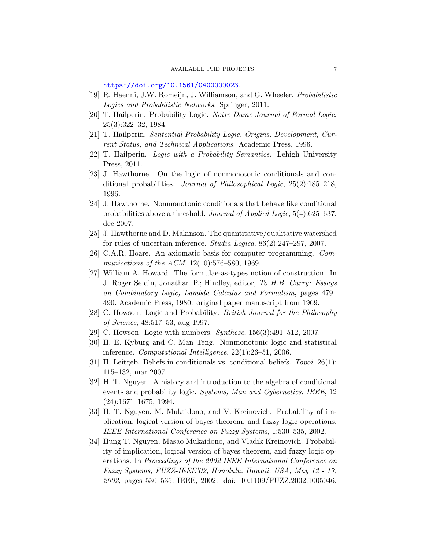<https://doi.org/10.1561/0400000023>.

- <span id="page-6-6"></span>[19] R. Haenni, J.W. Romeijn, J. Williamson, and G. Wheeler. Probabilistic Logics and Probabilistic Networks. Springer, 2011.
- <span id="page-6-0"></span>[20] T. Hailperin. Probability Logic. Notre Dame Journal of Formal Logic, 25(3):322–32, 1984.
- [21] T. Hailperin. Sentential Probability Logic. Origins, Development, Current Status, and Technical Applications. Academic Press, 1996.
- <span id="page-6-1"></span>[22] T. Hailperin. Logic with a Probability Semantics. Lehigh University Press, 2011.
- <span id="page-6-8"></span>[23] J. Hawthorne. On the logic of nonmonotonic conditionals and conditional probabilities. Journal of Philosophical Logic, 25(2):185–218, 1996.
- <span id="page-6-9"></span>[24] J. Hawthorne. Nonmonotonic conditionals that behave like conditional probabilities above a threshold. Journal of Applied Logic, 5(4):625–637, dec 2007.
- <span id="page-6-10"></span>[25] J. Hawthorne and D. Makinson. The quantitative/qualitative watershed for rules of uncertain inference. Studia Logica, 86(2):247–297, 2007.
- <span id="page-6-13"></span>[26] C.A.R. Hoare. An axiomatic basis for computer programming. Communications of the ACM, 12(10):576-580, 1969.
- <span id="page-6-12"></span>[27] William A. Howard. The formulae-as-types notion of construction. In J. Roger Seldin, Jonathan P.; Hindley, editor, To H.B. Curry: Essays on Combinatory Logic, Lambda Calculus and Formalism, pages 479– 490. Academic Press, 1980. original paper manuscript from 1969.
- <span id="page-6-3"></span>[28] C. Howson. Logic and Probability. British Journal for the Philosophy of Science, 48:517–53, aug 1997.
- <span id="page-6-4"></span>[29] C. Howson. Logic with numbers. *Synthese*, 156(3):491-512, 2007.
- <span id="page-6-7"></span>[30] H. E. Kyburg and C. Man Teng. Nonmonotonic logic and statistical inference. Computational Intelligence, 22(1):26–51, 2006.
- <span id="page-6-11"></span>[31] H. Leitgeb. Beliefs in conditionals vs. conditional beliefs. *Topoi*, 26(1): 115–132, mar 2007.
- <span id="page-6-2"></span>[32] H. T. Nguyen. A history and introduction to the algebra of conditional events and probability logic. Systems, Man and Cybernetics, IEEE, 12 (24):1671–1675, 1994.
- <span id="page-6-5"></span>[33] H. T. Nguyen, M. Mukaidono, and V. Kreinovich. Probability of implication, logical version of bayes theorem, and fuzzy logic operations. IEEE International Conference on Fuzzy Systems, 1:530–535, 2002.
- <span id="page-6-14"></span>[34] Hung T. Nguyen, Masao Mukaidono, and Vladik Kreinovich. Probability of implication, logical version of bayes theorem, and fuzzy logic operations. In Proceedings of the 2002 IEEE International Conference on Fuzzy Systems, FUZZ-IEEE'02, Honolulu, Hawaii, USA, May 12 - 17, 2002, pages 530–535. IEEE, 2002. doi: 10.1109/FUZZ.2002.1005046.